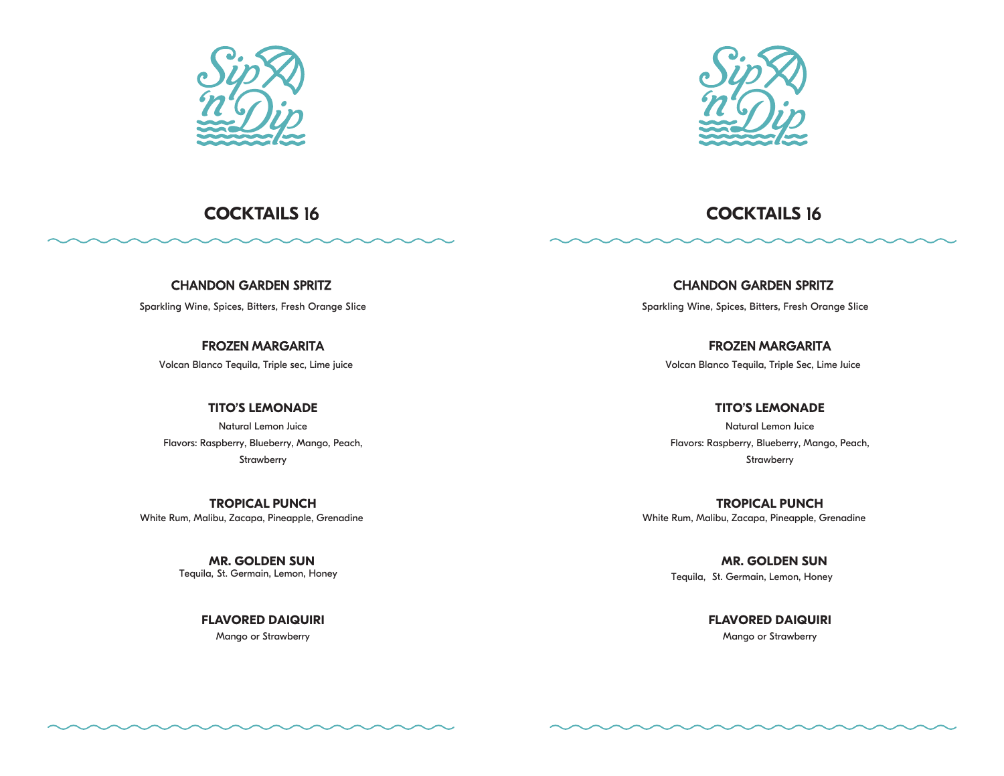



CHANDON GARDEN SPRITZ

Sparkling Wine, Spices, Bitters, Fresh Orange Slice

**F**ROZEN MARGARITA

Volcan Blanco Tequila, Triple sec, Lime juice

**TITO'S LEMONADE** 

Natural Lemon Juice Flavors: Raspberry, Blueberry, Mango, Peach, **Strawberry** 

**TROPICAL PUNCH**  White Rum, Malibu, Zacapa, Pineapple, Grenadine

> **MR. GOLDEN SUN**  Tequila, St. Germain, Lemon, Honey

> > **FLAVORED DAIQUIRI**  Mango or Strawberry

**COCKTAILS** 16 **COCKTAILS** 16

CHANDON GARDEN SPRITZ Sparkling Wine, Spices, Bitters, Fresh Orange Slice

**F**ROZEN MARGARITA Volcan Blanco Tequila, Triple Sec, Lime Juice

**TITO'S LEMONADE**  Natural Lemon Juice Flavors: Raspberry, Blueberry, Mango, Peach, **Strawberry** 

**TROPICAL PUNCH**  White Rum, Malibu, Zacapa, Pineapple, Grenadine

> **MR. GOLDEN SUN**  Tequila, St. Germain, Lemon, Honey

> > **FLAVORED DAIQUIRI** Mango or Strawberry